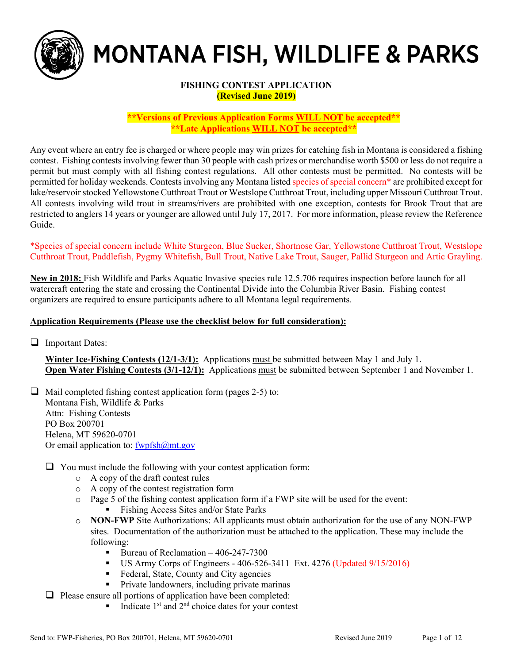

# MONTANA FISH, WILDLIFE & PARKS

# **FISHING CONTEST APPLICATION (Revised June 2019)**

**\*\*Versions of Previous Application Forms WILL NOT be accepted\*\* \*\*Late Applications WILL NOT be accepted\*\*** 

Any event where an entry fee is charged or where people may win prizes for catching fish in Montana is considered a fishing contest. Fishing contests involving fewer than 30 people with cash prizes or merchandise worth \$500 or less do not require a permit but must comply with all fishing contest regulations. All other contests must be permitted. No contests will be permitted for holiday weekends. Contests involving any Montana listed species of special concern\* are prohibited except for lake/reservoir stocked Yellowstone Cutthroat Trout or Westslope Cutthroat Trout, including upper Missouri Cutthroat Trout. All contests involving wild trout in streams/rivers are prohibited with one exception, contests for Brook Trout that are restricted to anglers 14 years or younger are allowed until July 17, 2017. For more information, please review the Reference Guide.

\*Species of special concern include White Sturgeon, Blue Sucker, Shortnose Gar, Yellowstone Cutthroat Trout, Westslope Cutthroat Trout, Paddlefish, Pygmy Whitefish, Bull Trout, Native Lake Trout, Sauger, Pallid Sturgeon and Artic Grayling.

**New in 2018:** Fish Wildlife and Parks Aquatic Invasive species rule 12.5.706 requires inspection before launch for all watercraft entering the state and crossing the Continental Divide into the Columbia River Basin. Fishing contest organizers are required to ensure participants adhere to all Montana legal requirements.

# **Application Requirements (Please use the checklist below for full consideration):**

 $\Box$  Important Dates:

**Winter Ice-Fishing Contests (12/1-3/1):** Applications must be submitted between May 1 and July 1. **Open Water Fishing Contests (3/1-12/1):** Applications must be submitted between September 1 and November 1.

 $\Box$  Mail completed fishing contest application form (pages 2-5) to: Montana Fish, Wildlife & Parks Attn: Fishing Contests PO Box 200701 Helena, MT 59620-0701 Or email application to:  $fwyfsh@mt.gov$ 

 $\Box$  You must include the following with your contest application form:

- o A copy of the draft contest rules
- o A copy of the contest registration form
- $\circ$  Page 5 of the fishing contest application form if a FWP site will be used for the event: Fishing Access Sites and/or State Parks
- o **NON-FWP** Site Authorizations: All applicants must obtain authorization for the use of any NON-FWP sites. Documentation of the authorization must be attached to the application. These may include the following:
	- Bureau of Reclamation  $-406-247-7300$
	- US Army Corps of Engineers  $406-526-3411$  Ext.  $4276$  (Updated  $9/15/2016$ )
	- Federal, State, County and City agencies
	- **Private landowners, including private marinas**

 $\Box$  Please ensure all portions of application have been completed:

Indicate  $1<sup>st</sup>$  and  $2<sup>nd</sup>$  choice dates for your contest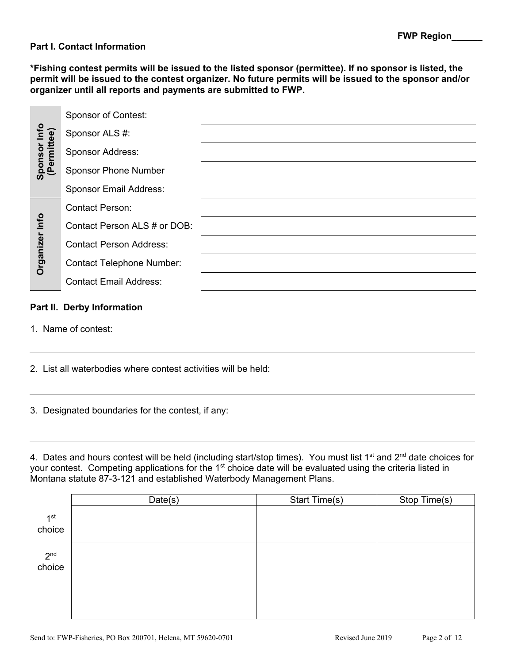# **Part I. Contact Information**

**\*Fishing contest permits will be issued to the listed sponsor (permittee). If no sponsor is listed, the permit will be issued to the contest organizer. No future permits will be issued to the sponsor and/or organizer until all reports and payments are submitted to FWP.** 

| Sponsor Info<br>(Permittee) | <b>Sponsor of Contest:</b>       |  |
|-----------------------------|----------------------------------|--|
|                             | Sponsor ALS #:                   |  |
|                             | <b>Sponsor Address:</b>          |  |
|                             | <b>Sponsor Phone Number</b>      |  |
| Organizer Info              | <b>Sponsor Email Address:</b>    |  |
|                             | <b>Contact Person:</b>           |  |
|                             | Contact Person ALS # or DOB:     |  |
|                             | <b>Contact Person Address:</b>   |  |
|                             | <b>Contact Telephone Number:</b> |  |
|                             | <b>Contact Email Address:</b>    |  |
|                             | Part II. Derby Information       |  |

1. Name of contest:

2. List all waterbodies where contest activities will be held:

3. Designated boundaries for the contest, if any:

4. Dates and hours contest will be held (including start/stop times). You must list 1<sup>st</sup> and 2<sup>nd</sup> date choices for your contest. Competing applications for the 1<sup>st</sup> choice date will be evaluated using the criteria listed in Montana statute 87-3-121 and established Waterbody Management Plans.

|                 | Date(s) | Start Time(s) | Stop Time(s) |
|-----------------|---------|---------------|--------------|
| 1 <sup>st</sup> |         |               |              |
| choice          |         |               |              |
| $2nd$ choice    |         |               |              |
|                 |         |               |              |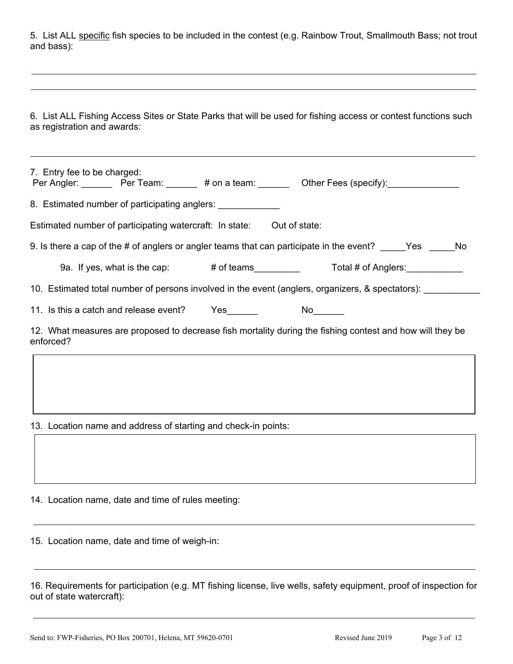5. List ALL specific fish species to be included in the contest (e.g. Rainbow Trout, Smallmouth Bass; not trout and bass):

6. List ALL Fishing Access Sites or State Parks that will be used for fishing access or contest functions such as registration and awards:

| 7. Entry fee to be charged:<br>Per Angler: Per Team: # on a team: 0ther Fees (specify):                                |  |  |  |  |  |  |  |
|------------------------------------------------------------------------------------------------------------------------|--|--|--|--|--|--|--|
| 8. Estimated number of participating anglers:                                                                          |  |  |  |  |  |  |  |
| Estimated number of participating watercraft: In state: Out of state:                                                  |  |  |  |  |  |  |  |
| 9. Is there a cap of the $\#$ of anglers or angler teams that can participate in the event? Yes No                     |  |  |  |  |  |  |  |
| 9a. If yes, what is the cap: # of teams Total # of Anglers:                                                            |  |  |  |  |  |  |  |
| 10. Estimated total number of persons involved in the event (anglers, organizers, & spectators):                       |  |  |  |  |  |  |  |
| 11. Is this a catch and release event? Yes No                                                                          |  |  |  |  |  |  |  |
| 12. What measures are proposed to decrease fish mortality during the fishing contest and how will they be<br>enforced? |  |  |  |  |  |  |  |
|                                                                                                                        |  |  |  |  |  |  |  |
|                                                                                                                        |  |  |  |  |  |  |  |
|                                                                                                                        |  |  |  |  |  |  |  |

13. Location name and address of starting and check-in points:

14. Location name, date and time of rules meeting:

15. Location name, date and time of weigh-in:

16. Requirements for participation (e.g. MT fishing license, live wells, safety equipment, proof of inspection for out of state watercraft):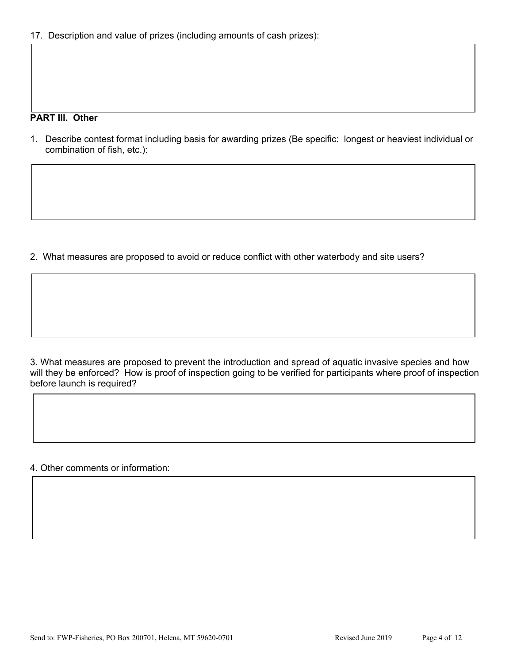# **PART III. Other**

1. Describe contest format including basis for awarding prizes (Be specific: longest or heaviest individual or combination of fish, etc.):

2. What measures are proposed to avoid or reduce conflict with other waterbody and site users?

3. What measures are proposed to prevent the introduction and spread of aquatic invasive species and how will they be enforced? How is proof of inspection going to be verified for participants where proof of inspection before launch is required?

4. Other comments or information: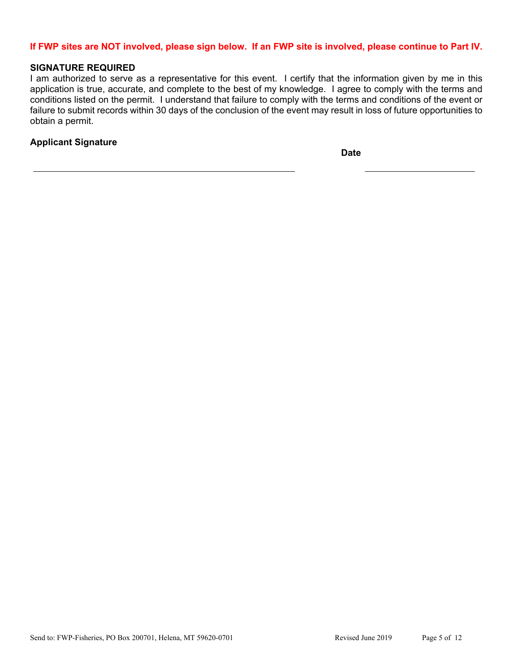# **If FWP sites are NOT involved, please sign below. If an FWP site is involved, please continue to Part IV.**

#### **SIGNATURE REQUIRED**

I am authorized to serve as a representative for this event. I certify that the information given by me in this application is true, accurate, and complete to the best of my knowledge. I agree to comply with the terms and conditions listed on the permit. I understand that failure to comply with the terms and conditions of the event or failure to submit records within 30 days of the conclusion of the event may result in loss of future opportunities to obtain a permit.

# **Applicant Signature**

**Date**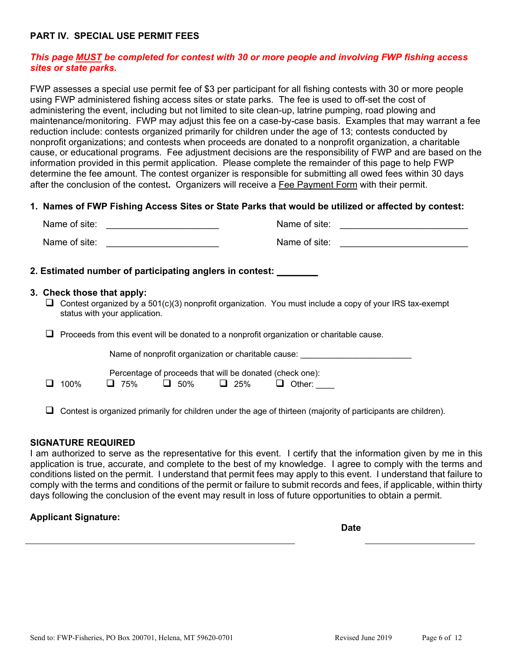# **PART IV. SPECIAL USE PERMIT FEES**

# *This page MUST be completed for contest with 30 or more people and involving FWP fishing access sites or state parks.*

FWP assesses a special use permit fee of \$3 per participant for all fishing contests with 30 or more people using FWP administered fishing access sites or state parks. The fee is used to off-set the cost of administering the event, including but not limited to site clean-up, latrine pumping, road plowing and maintenance/monitoring. FWP may adjust this fee on a case-by-case basis. Examples that may warrant a fee reduction include: contests organized primarily for children under the age of 13; contests conducted by nonprofit organizations; and contests when proceeds are donated to a nonprofit organization, a charitable cause, or educational programs. Fee adjustment decisions are the responsibility of FWP and are based on the information provided in this permit application. Please complete the remainder of this page to help FWP determine the fee amount. The contest organizer is responsible for submitting all owed fees within 30 days after the conclusion of the contest**.** Organizers will receive a Fee Payment Form with their permit.

## **1. Names of FWP Fishing Access Sites or State Parks that would be utilized or affected by contest:**

| Name of site: | Name of site: |  |
|---------------|---------------|--|
| Name of site: | Name of site: |  |

## **2. Estimated number of participating anglers in contest: \_\_\_\_\_\_\_\_**

#### **3. Check those that apply:**

 $\Box$  Contest organized by a 501(c)(3) nonprofit organization. You must include a copy of your IRS tax-exempt status with your application.

 $\Box$  Proceeds from this event will be donated to a nonprofit organization or charitable cause.

Name of nonprofit organization or charitable cause:

Percentage of proceeds that will be donated (check one):

 $\Box$  100%  $\Box$  75%  $\Box$  50%  $\Box$  25%  $\Box$  Other:

 $\Box$  Contest is organized primarily for children under the age of thirteen (majority of participants are children).

## **SIGNATURE REQUIRED**

I am authorized to serve as the representative for this event. I certify that the information given by me in this application is true, accurate, and complete to the best of my knowledge. I agree to comply with the terms and conditions listed on the permit. I understand that permit fees may apply to this event. I understand that failure to comply with the terms and conditions of the permit or failure to submit records and fees, if applicable, within thirty days following the conclusion of the event may result in loss of future opportunities to obtain a permit.

## **Applicant Signature:**

**Date**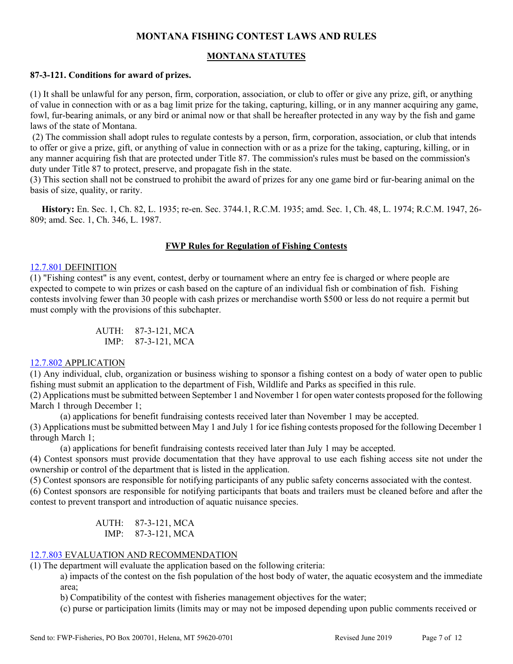# **MONTANA FISHING CONTEST LAWS AND RULES**

# **MONTANA STATUTES**

# **87-3-121. Conditions for award of prizes.**

(1) It shall be unlawful for any person, firm, corporation, association, or club to offer or give any prize, gift, or anything of value in connection with or as a bag limit prize for the taking, capturing, killing, or in any manner acquiring any game, fowl, fur-bearing animals, or any bird or animal now or that shall be hereafter protected in any way by the fish and game laws of the state of Montana.

 (2) The commission shall adopt rules to regulate contests by a person, firm, corporation, association, or club that intends to offer or give a prize, gift, or anything of value in connection with or as a prize for the taking, capturing, killing, or in any manner acquiring fish that are protected under Title 87. The commission's rules must be based on the commission's duty under Title 87 to protect, preserve, and propagate fish in the state.

(3) This section shall not be construed to prohibit the award of prizes for any one game bird or fur-bearing animal on the basis of size, quality, or rarity.

 **History:** En. Sec. 1, Ch. 82, L. 1935; re-en. Sec. 3744.1, R.C.M. 1935; amd. Sec. 1, Ch. 48, L. 1974; R.C.M. 1947, 26- 809; amd. Sec. 1, Ch. 346, L. 1987.

# **FWP Rules for Regulation of Fishing Contests**

## 12.7.801 DEFINITION

(1) "Fishing contest" is any event, contest, derby or tournament where an entry fee is charged or where people are expected to compete to win prizes or cash based on the capture of an individual fish or combination of fish. Fishing contests involving fewer than 30 people with cash prizes or merchandise worth \$500 or less do not require a permit but must comply with the provisions of this subchapter.

> AUTH: 87-3-121, MCA IMP: 87-3-121, MCA

## 12.7.802 APPLICATION

(1) Any individual, club, organization or business wishing to sponsor a fishing contest on a body of water open to public fishing must submit an application to the department of Fish, Wildlife and Parks as specified in this rule.

(2) Applications must be submitted between September 1 and November 1 for open water contests proposed for the following March 1 through December 1;

(a) applications for benefit fundraising contests received later than November 1 may be accepted. (3) Applications must be submitted between May 1 and July 1 for ice fishing contests proposed for the following December 1 through March 1;

(a) applications for benefit fundraising contests received later than July 1 may be accepted.

(4) Contest sponsors must provide documentation that they have approval to use each fishing access site not under the ownership or control of the department that is listed in the application.

(5) Contest sponsors are responsible for notifying participants of any public safety concerns associated with the contest.

(6) Contest sponsors are responsible for notifying participants that boats and trailers must be cleaned before and after the contest to prevent transport and introduction of aquatic nuisance species.

> AUTH: 87-3-121, MCA IMP: 87-3-121, MCA

# 12.7.803 EVALUATION AND RECOMMENDATION

(1) The department will evaluate the application based on the following criteria:

a) impacts of the contest on the fish population of the host body of water, the aquatic ecosystem and the immediate area;

b) Compatibility of the contest with fisheries management objectives for the water;

(c) purse or participation limits (limits may or may not be imposed depending upon public comments received or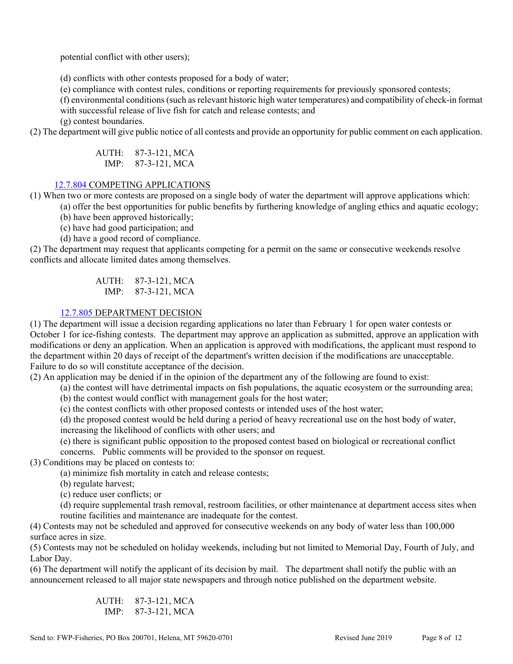potential conflict with other users);

(d) conflicts with other contests proposed for a body of water;

(e) compliance with contest rules, conditions or reporting requirements for previously sponsored contests;

(f) environmental conditions (such as relevant historic high water temperatures) and compatibility of check-in format with successful release of live fish for catch and release contests; and

(g) contest boundaries.

(2) The department will give public notice of all contests and provide an opportunity for public comment on each application.

AUTH: 87-3-121, MCA IMP: 87-3-121, MCA

# 12.7.804 COMPETING APPLICATIONS

(1) When two or more contests are proposed on a single body of water the department will approve applications which:

(a) offer the best opportunities for public benefits by furthering knowledge of angling ethics and aquatic ecology;

(b) have been approved historically;

(c) have had good participation; and

(d) have a good record of compliance.

(2) The department may request that applicants competing for a permit on the same or consecutive weekends resolve conflicts and allocate limited dates among themselves.

> AUTH: 87-3-121, MCA IMP: 87-3-121, MCA

# 12.7.805 DEPARTMENT DECISION

(1) The department will issue a decision regarding applications no later than February 1 for open water contests or October 1 for ice-fishing contests. The department may approve an application as submitted, approve an application with modifications or deny an application. When an application is approved with modifications, the applicant must respond to the department within 20 days of receipt of the department's written decision if the modifications are unacceptable. Failure to do so will constitute acceptance of the decision.

(2) An application may be denied if in the opinion of the department any of the following are found to exist:

(a) the contest will have detrimental impacts on fish populations, the aquatic ecosystem or the surrounding area;

(b) the contest would conflict with management goals for the host water;

(c) the contest conflicts with other proposed contests or intended uses of the host water;

(d) the proposed contest would be held during a period of heavy recreational use on the host body of water,

increasing the likelihood of conflicts with other users; and

(e) there is significant public opposition to the proposed contest based on biological or recreational conflict concerns. Public comments will be provided to the sponsor on request.

(3) Conditions may be placed on contests to:

(a) minimize fish mortality in catch and release contests;

(b) regulate harvest;

(c) reduce user conflicts; or

(d) require supplemental trash removal, restroom facilities, or other maintenance at department access sites when routine facilities and maintenance are inadequate for the contest.

(4) Contests may not be scheduled and approved for consecutive weekends on any body of water less than 100,000 surface acres in size.

(5) Contests may not be scheduled on holiday weekends, including but not limited to Memorial Day, Fourth of July, and Labor Day.

(6) The department will notify the applicant of its decision by mail. The department shall notify the public with an announcement released to all major state newspapers and through notice published on the department website.

> AUTH: 87-3-121, MCA IMP: 87-3-121, MCA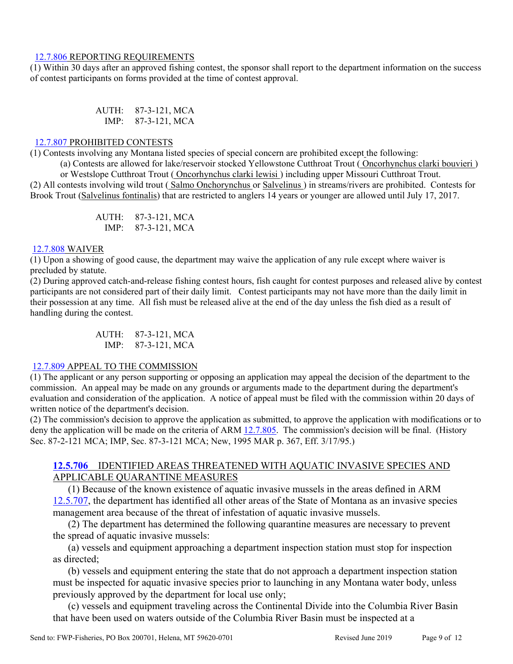#### 12.7.806 REPORTING REQUIREMENTS

(1) Within 30 days after an approved fishing contest, the sponsor shall report to the department information on the success of contest participants on forms provided at the time of contest approval.

> AUTH: 87-3-121, MCA IMP: 87-3-121, MCA

# 12.7.807 PROHIBITED CONTESTS

(1) Contests involving any Montana listed species of special concern are prohibited except the following:

(a) Contests are allowed for lake/reservoir stocked Yellowstone Cutthroat Trout ( Oncorhynchus clarki bouvieri ) or Westslope Cutthroat Trout ( Oncorhynchus clarki lewisi ) including upper Missouri Cutthroat Trout.

(2) All contests involving wild trout ( Salmo Onchorynchus or Salvelinus ) in streams/rivers are prohibited. Contests for Brook Trout (Salvelinus fontinalis) that are restricted to anglers 14 years or younger are allowed until July 17, 2017.

> AUTH: 87-3-121, MCA IMP: 87-3-121, MCA

#### 12.7.808 WAIVER

(1) Upon a showing of good cause, the department may waive the application of any rule except where waiver is precluded by statute.

(2) During approved catch-and-release fishing contest hours, fish caught for contest purposes and released alive by contest participants are not considered part of their daily limit. Contest participants may not have more than the daily limit in their possession at any time. All fish must be released alive at the end of the day unless the fish died as a result of handling during the contest.

> AUTH: 87-3-121, MCA IMP: 87-3-121, MCA

## 12.7.809 APPEAL TO THE COMMISSION

(1) The applicant or any person supporting or opposing an application may appeal the decision of the department to the commission. An appeal may be made on any grounds or arguments made to the department during the department's evaluation and consideration of the application. A notice of appeal must be filed with the commission within 20 days of written notice of the department's decision.

(2) The commission's decision to approve the application as submitted, to approve the application with modifications or to deny the application will be made on the criteria of ARM 12.7.805. The commission's decision will be final. (History Sec. 87-2-121 MCA; IMP, Sec. 87-3-121 MCA; New, 1995 MAR p. 367, Eff. 3/17/95.)

# **12.5.706** IDENTIFIED AREAS THREATENED WITH AQUATIC INVASIVE SPECIES AND APPLICABLE QUARANTINE MEASURES

(1) Because of the known existence of aquatic invasive mussels in the areas defined in ARM 12.5.707, the department has identified all other areas of the State of Montana as an invasive species management area because of the threat of infestation of aquatic invasive mussels.

(2) The department has determined the following quarantine measures are necessary to prevent the spread of aquatic invasive mussels:

(a) vessels and equipment approaching a department inspection station must stop for inspection as directed;

(b) vessels and equipment entering the state that do not approach a department inspection station must be inspected for aquatic invasive species prior to launching in any Montana water body, unless previously approved by the department for local use only;

(c) vessels and equipment traveling across the Continental Divide into the Columbia River Basin that have been used on waters outside of the Columbia River Basin must be inspected at a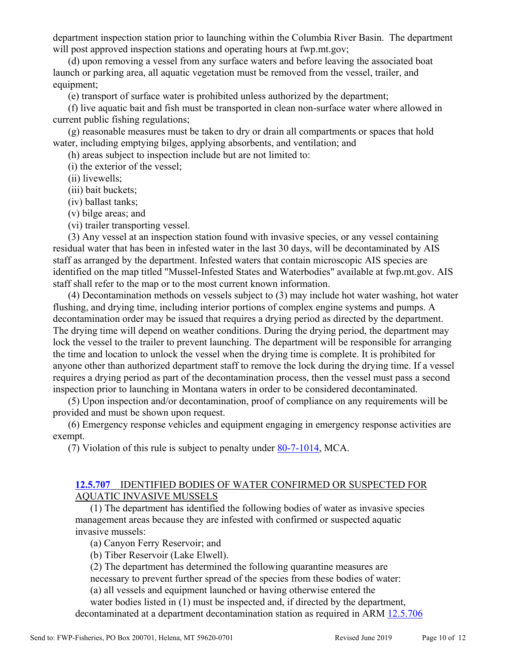department inspection station prior to launching within the Columbia River Basin. The department will post approved inspection stations and operating hours at fwp.mt.gov;

(d) upon removing a vessel from any surface waters and before leaving the associated boat launch or parking area, all aquatic vegetation must be removed from the vessel, trailer, and equipment;

(e) transport of surface water is prohibited unless authorized by the department;

(f) live aquatic bait and fish must be transported in clean non-surface water where allowed in current public fishing regulations;

(g) reasonable measures must be taken to dry or drain all compartments or spaces that hold water, including emptying bilges, applying absorbents, and ventilation; and

(h) areas subject to inspection include but are not limited to:

(i) the exterior of the vessel;

(ii) livewells;

(iii) bait buckets;

(iv) ballast tanks;

(v) bilge areas; and

(vi) trailer transporting vessel.

(3) Any vessel at an inspection station found with invasive species, or any vessel containing residual water that has been in infested water in the last 30 days, will be decontaminated by AIS staff as arranged by the department. Infested waters that contain microscopic AIS species are identified on the map titled "Mussel-Infested States and Waterbodies" available at fwp.mt.gov. AIS staff shall refer to the map or to the most current known information.

(4) Decontamination methods on vessels subject to (3) may include hot water washing, hot water flushing, and drying time, including interior portions of complex engine systems and pumps. A decontamination order may be issued that requires a drying period as directed by the department. The drying time will depend on weather conditions. During the drying period, the department may lock the vessel to the trailer to prevent launching. The department will be responsible for arranging the time and location to unlock the vessel when the drying time is complete. It is prohibited for anyone other than authorized department staff to remove the lock during the drying time. If a vessel requires a drying period as part of the decontamination process, then the vessel must pass a second inspection prior to launching in Montana waters in order to be considered decontaminated.

(5) Upon inspection and/or decontamination, proof of compliance on any requirements will be provided and must be shown upon request.

(6) Emergency response vehicles and equipment engaging in emergency response activities are exempt.

(7) Violation of this rule is subject to penalty under 80-7-1014, MCA.

# **12.5.707** IDENTIFIED BODIES OF WATER CONFIRMED OR SUSPECTED FOR AQUATIC INVASIVE MUSSELS

(1) The department has identified the following bodies of water as invasive species management areas because they are infested with confirmed or suspected aquatic invasive mussels:

(a) Canyon Ferry Reservoir; and

(b) Tiber Reservoir (Lake Elwell).

(2) The department has determined the following quarantine measures are

necessary to prevent further spread of the species from these bodies of water:

(a) all vessels and equipment launched or having otherwise entered the

water bodies listed in (1) must be inspected and, if directed by the department, decontaminated at a department decontamination station as required in ARM 12.5.706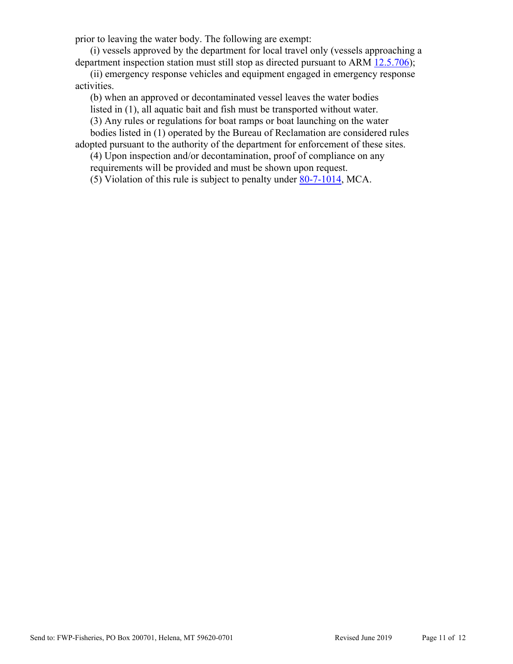prior to leaving the water body. The following are exempt:

(i) vessels approved by the department for local travel only (vessels approaching a department inspection station must still stop as directed pursuant to ARM 12.5.706);

(ii) emergency response vehicles and equipment engaged in emergency response activities.

(b) when an approved or decontaminated vessel leaves the water bodies

listed in (1), all aquatic bait and fish must be transported without water.

(3) Any rules or regulations for boat ramps or boat launching on the water bodies listed in (1) operated by the Bureau of Reclamation are considered rules

adopted pursuant to the authority of the department for enforcement of these sites.

(4) Upon inspection and/or decontamination, proof of compliance on any requirements will be provided and must be shown upon request.

(5) Violation of this rule is subject to penalty under 80-7-1014, MCA.